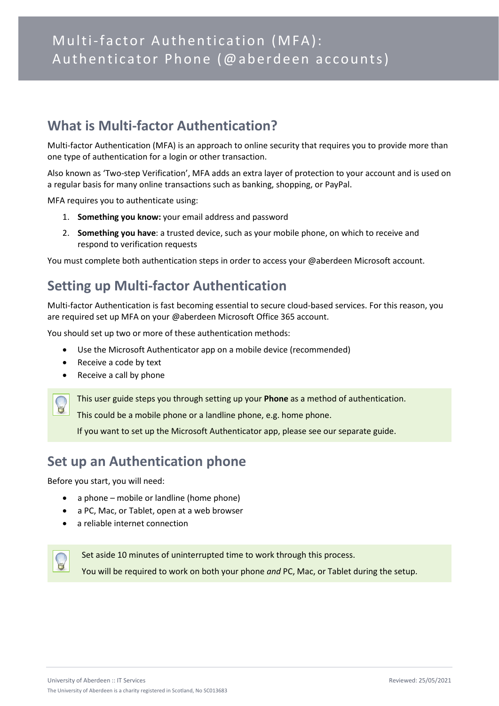## **What is Multi-factor Authentication?**

Multi-factor Authentication (MFA) is an approach to online security that requires you to provide more than one type of authentication for a login or other transaction.

Also known as 'Two-step Verification', MFA adds an extra layer of protection to your account and is used on a regular basis for many online transactions such as banking, shopping, or PayPal.

MFA requires you to authenticate using:

- 1. **Something you know:** your email address and password
- 2. **Something you have**: a trusted device, such as your mobile phone, on which to receive and respond to verification requests

You must complete both authentication steps in order to access your @aberdeen Microsoft account.

# **Setting up Multi-factor Authentication**

Multi-factor Authentication is fast becoming essential to secure cloud-based services. For this reason, you are required set up MFA on your @aberdeen Microsoft Office 365 account.

You should set up two or more of these authentication methods:

- Use the Microsoft Authenticator app on a mobile device (recommended)
- Receive a code by text
- Receive a call by phone

This user guide steps you through setting up your **Phone** as a method of authentication.

This could be a mobile phone or a landline phone, e.g. home phone.

If you want to set up the Microsoft Authenticator app, please see our separate guide.

## **Set up an Authentication phone**

Before you start, you will need:

- a phone mobile or landline (home phone)
- a PC, Mac, or Tablet, open at a web browser
- a reliable internet connection



Set aside 10 minutes of uninterrupted time to work through this process. You will be required to work on both your phone *and* PC, Mac, or Tablet during the setup.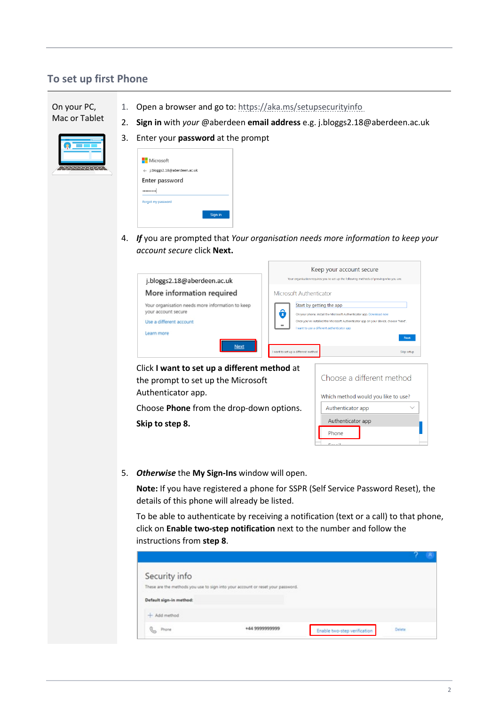### **To set up first Phone**

On your PC, Mac or Tablet 1. Open a browser and go to:<https://aka.ms/setupsecurityinfo> 2. **Sign in** with *your* @aberdeen **email address** e.g. j.bloggs2.18@aberdeen.ac.uk



3. Enter your **password** at the prompt

| <b>Nicrosoft</b>              |         |
|-------------------------------|---------|
| ← i.bloggs2.18@aberdeen.ac.uk |         |
| Enter password                |         |
|                               |         |
| Forgot my password            |         |
|                               | Sign in |
|                               |         |

4. *If* you are prompted that *Your organisation needs more information to keep your account secure* click **Next.** 

|                                                                                                    | Keep your account secure                                                                                                                                                                                                                                                     |
|----------------------------------------------------------------------------------------------------|------------------------------------------------------------------------------------------------------------------------------------------------------------------------------------------------------------------------------------------------------------------------------|
| j.bloggs2.18@aberdeen.ac.uk                                                                        | Your organisation requires you to set up the following methods of proving who you are.                                                                                                                                                                                       |
| More information required                                                                          | Microsoft Authenticator                                                                                                                                                                                                                                                      |
| Your organisation needs more information to keep<br>your account secure<br>Use a different account | Start by getting the app<br>ô<br>On your phone, install the Microsoft Authenticator app. Download now<br>Once you've installed the Microsoft Authenticator app on your device, choose "Next".<br>$\qquad \qquad \blacksquare$<br>I want to use a different authenticator app |
| Learn more                                                                                         | Next                                                                                                                                                                                                                                                                         |
| Next                                                                                               | want to set up a different method<br>Skip setup                                                                                                                                                                                                                              |

Click **I want to set up a different method** at the prompt to set up the Microsoft Authenticator app.

Choose **Phone** from the drop-down options. **Skip to step 8.**

| Choose a different method           |  |  |
|-------------------------------------|--|--|
| Which method would you like to use? |  |  |
| Authenticator app                   |  |  |
| Authenticator app                   |  |  |
| Phone                               |  |  |
| mass of the                         |  |  |

5. *Otherwise* the **My Sign-Ins** window will open.

**Note:** If you have registered a phone for SSPR (Self Service Password Reset), the details of this phone will already be listed.

To be able to authenticate by receiving a notification (text or a call) to that phone, click on **Enable two-step notification** next to the number and follow the instructions from **step 8**.

| Security info           |                                                                                 |                              |        |  |
|-------------------------|---------------------------------------------------------------------------------|------------------------------|--------|--|
|                         | These are the methods you use to sign into your account or reset your password. |                              |        |  |
| Default sign-in method: |                                                                                 |                              |        |  |
| $+$ Add method          |                                                                                 |                              |        |  |
| Phone                   |                                                                                 | Enable two-step verification | Delete |  |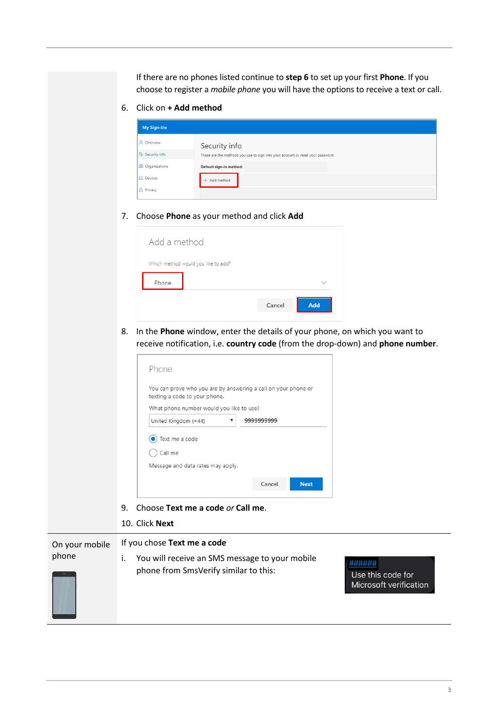If there are no phones listed continue to **step 6** to set up your first **Phone**. If you choose to register a *mobile phone* you will have the options to receive a text or call.

6. Click on **+ Add method**

| <b>My Sign-Ins</b>     |                                                                                 |
|------------------------|---------------------------------------------------------------------------------|
| <b>Q</b> Overview      | Security info                                                                   |
| <b>P</b> Security info | These are the methods you use to sign into your account or reset your password. |
| Organizations          | Default sign-in method:                                                         |
| <b>口</b> Devices       | Add method                                                                      |
| A Privacy              |                                                                                 |

#### 7. Choose **Phone** as your method and click **Add**

| Add a method |                                     |     |  |
|--------------|-------------------------------------|-----|--|
|              | Which method would you like to add? |     |  |
| Phone        |                                     |     |  |
|              | Cancel                              | Add |  |

8. In the **Phone** window, enter the details of your phone, on which you want to receive notification, i.e. **country code** (from the drop-down) and **phone number**.

| texting a code to your phone.            | You can prove who you are by answering a call on your phone or |
|------------------------------------------|----------------------------------------------------------------|
| What phone number would you like to use? |                                                                |
| United Kingdom (+44)                     | 999999999                                                      |
| Text me a code<br>Call me                |                                                                |
|                                          |                                                                |

- 9. Choose **Text me a code** *or* **Call me**.
- 10. Click **Next**

On your mobile phone If you chose **Text me a code** i. You will receive an SMS message to your mobile phone from SmsVerify similar to this:

###### Use this code for Microsoft verification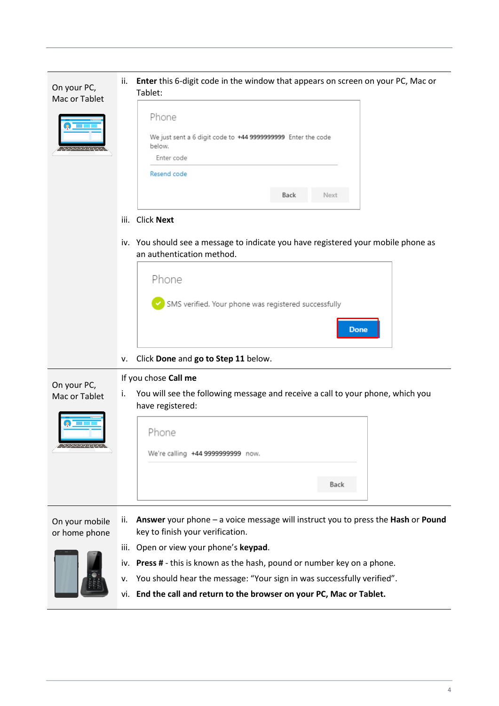

- v. You should hear the message: "Your sign in was successfully verified".
- vi. **End the call and return to the browser on your PC, Mac or Tablet.**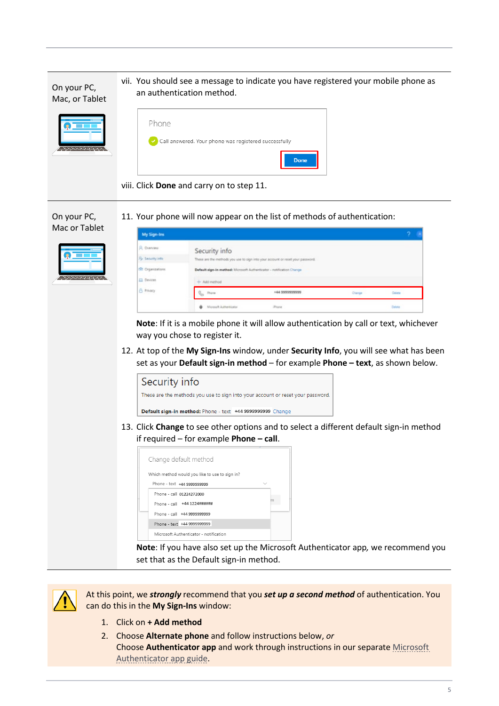

viii. Click **Done** and carry on to step 11.

On your PC, 11. Your phone will now appear on the list of methods of authentication:

| Mac or Tablet | My Sign-Ins                                                       |                                                                                                                          |                                                                                                                                                                         |        |                  |
|---------------|-------------------------------------------------------------------|--------------------------------------------------------------------------------------------------------------------------|-------------------------------------------------------------------------------------------------------------------------------------------------------------------------|--------|------------------|
|               | R. Dienteer<br>Fig. Security info.<br>Co Organizations<br>Devices | Security info<br>Default sign-in method: Microsoft Authenticator - notification Change<br>- Add method                   | These are the methods you use to sign into your account or reset your password.                                                                                         |        |                  |
|               | <b>B</b> Privacy                                                  | Phone<br>Misrosoft Authenticator                                                                                         | 144 9999999999<br><b>Brons</b>                                                                                                                                          | Change | Colora<br>Delete |
|               |                                                                   | way you chose to register it.                                                                                            | Note: If it is a mobile phone it will allow authentication by call or text, whichever                                                                                   |        |                  |
|               |                                                                   |                                                                                                                          | 12. At top of the My Sign-Ins window, under Security Info, you will see what has been<br>set as your Default sign-in method - for example Phone - text, as shown below. |        |                  |
|               | Security info                                                     |                                                                                                                          | These are the methods you use to sign into your account or reset your password.                                                                                         |        |                  |
|               |                                                                   | Default sign-in method: Phone - text +44 9999999999 Change                                                               | 13. Click Change to see other options and to select a different default sign-in method                                                                                  |        |                  |
|               |                                                                   | if required $-$ for example Phone $-$ call.<br>Change default method<br>Which method would you like to use to sign in?   |                                                                                                                                                                         |        |                  |
|               | Phone - call 01224272000                                          | Phone - text +44 9999999999<br>Phone - call +44 1224######<br>Phone - call +44 9999999999<br>Phone - text +44 9999999999 | $\checkmark$                                                                                                                                                            |        |                  |
|               |                                                                   | Microsoft Authenticator - notification                                                                                   |                                                                                                                                                                         |        |                  |

**Note**: If you have also set up the Microsoft Authenticator app*,* we recommend you set that as the Default sign-in method.



At this point, we *strongly* recommend that you *set up a second method* of authentication. You can do this in the **My Sign-Ins** window:

- 1. Click on **+ Add method**
- 2. Choose **Alternate phone** and follow instructions below, *or*  Choose **Authenticator app** and work through instructions in our separat[e Microsoft](https://www.abdn.ac.uk/it/documents/mfa-authenticator-app-aberdeen.pdf)  [Authenticator app guide.](https://www.abdn.ac.uk/it/documents/mfa-authenticator-app-aberdeen.pdf)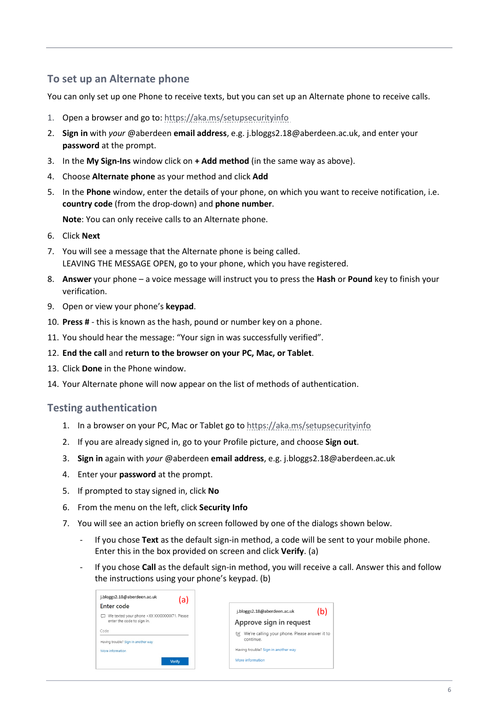### **To set up an Alternate phone**

You can only set up one Phone to receive texts, but you can set up an Alternate phone to receive calls.

- 1. Open a browser and go to:<https://aka.ms/setupsecurityinfo>
- 2. **Sign in** with *your* @aberdeen **email address**, e.g. j.bloggs2.18@aberdeen.ac.uk, and enter your **password** at the prompt.
- 3. In the **My Sign-Ins** window click on **+ Add method** (in the same way as above).
- 4. Choose **Alternate phone** as your method and click **Add**
- 5. In the **Phone** window, enter the details of your phone, on which you want to receive notification, i.e. **country code** (from the drop-down) and **phone number**.

**Note**: You can only receive calls to an Alternate phone.

- 6. Click **Next**
- 7. You will see a message that the Alternate phone is being called. LEAVING THE MESSAGE OPEN, go to your phone, which you have registered.
- 8. **Answer** your phone a voice message will instruct you to press the **Hash** or **Pound** key to finish your verification.
- 9. Open or view your phone's **keypad**.
- 10. **Press #**  this is known as the hash, pound or number key on a phone.
- 11. You should hear the message: "Your sign in was successfully verified".
- 12. **End the call** and **return to the browser on your PC, Mac, or Tablet**.
- 13. Click **Done** in the Phone window.
- 14. Your Alternate phone will now appear on the list of methods of authentication.

#### **Testing authentication**

- 1. In a browser on your PC, Mac or Tablet go t[o https://aka.ms/setupsecurityinfo](https://aka.ms/setupsecurityinfo)
- 2. If you are already signed in, go to your Profile picture, and choose **Sign out**.
- 3. **Sign in** again with *your* @aberdeen **email address**, e.g. j.bloggs2.18@aberdeen.ac.uk
- 4. Enter your **password** at the prompt.
- 5. If prompted to stay signed in, click **No**
- 6. From the menu on the left, click **Security Info**
- 7. You will see an action briefly on screen followed by one of the dialogs shown below.
	- If you chose Text as the default sign-in method, a code will be sent to your mobile phone. Enter this in the box provided on screen and click **Verify**. (a)
	- If you chose **Call** as the default sign-in method, you will receive a call. Answer this and follow the instructions using your phone's keypad. (b)

| j.bloggs2.18@aberdeen.ac.uk<br>(a)          |                                                     |
|---------------------------------------------|-----------------------------------------------------|
| Enter code                                  | j.bloggs2.18@aberdeen.ac.uk                         |
| We texted your phone +XX XXXXXXXX71. Please | (b)                                                 |
| enter the code to sign in.                  | Approve sign in request                             |
| Code                                        | We're calling your phone. Please answer it to<br>GK |
| Having trouble? Sign in another way         | continue.                                           |
| More information                            | Having trouble? Sign in another way                 |
| Verify                                      | More information                                    |